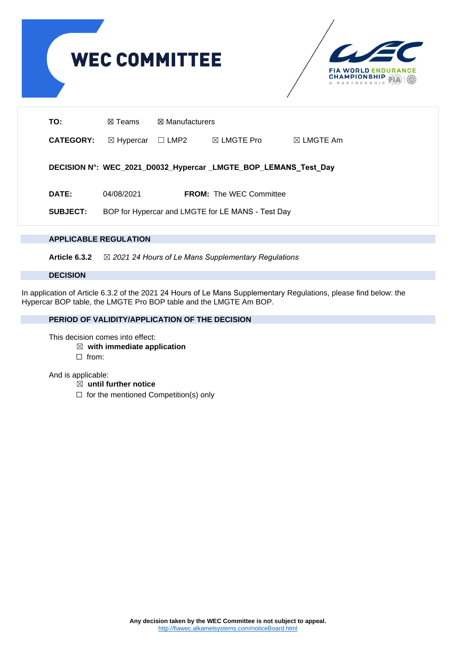

## **APPLICABLE REGULATION**

**Article 6.3.2** ☒ *2021 24 Hours of Le Mans Supplementary Regulations*

#### **DECISION**

In application of Article 6.3.2 of the 2021 24 Hours of Le Mans Supplementary Regulations, please find below: the Hypercar BOP table, the LMGTE Pro BOP table and the LMGTE Am BOP.

# **PERIOD OF VALIDITY/APPLICATION OF THE DECISION**

This decision comes into effect:

- ☒ **with immediate application**
- ☐ from:

# And is applicable:

- ☒ **until further notice**
- $\Box$  for the mentioned Competition(s) only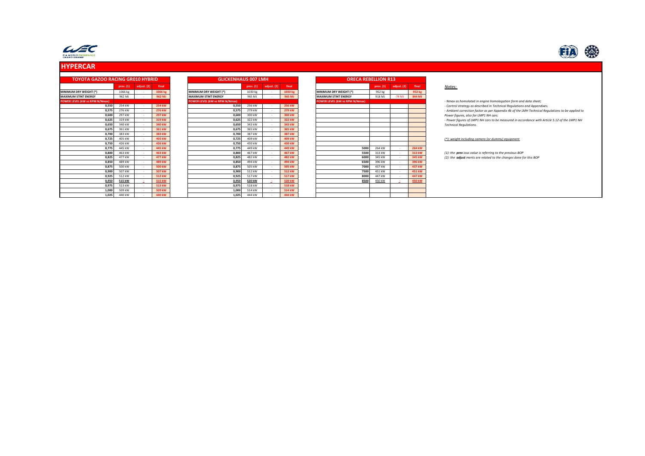

# **HYPERCAR**



| <b>TOYOTA GAZOO RACING GR010 HYBRID</b> |                 |             |               | <b>GLICKENHAUS 007 LMH</b>     |           |              |         | <b>ORECA REBELLION R13</b>     |           |             |        |                                                                                                  |
|-----------------------------------------|-----------------|-------------|---------------|--------------------------------|-----------|--------------|---------|--------------------------------|-----------|-------------|--------|--------------------------------------------------------------------------------------------------|
|                                         | prev. (1)       | adjust. (2) | final         |                                | prev. (1) | adjust. (2)  | final   |                                | prev. (1) | adjust. (2) | final  | Notes:                                                                                           |
| MINIMUM DRY WEIGHT (*)                  | 1066 kg         |             | 1066 kg       | <b>MINIMUM DRY WEIGHT (*)</b>  | 1030 kg   |              | 1030 kg | MINIMUM DRY WEIGHT (*)         | 952 kg    |             | 952 kg |                                                                                                  |
| <b>MAXIMUM STINT ENERGY</b>             | 962 MJ          |             | 962 MJ        | <b>MAXIMUM STINT ENERGY</b>    | 965 MJ    |              | 965 MJ  | <b>MAXIMUM STINT ENERGY</b>    | 918 MJ    | $-74$ MJ    | 844 MJ |                                                                                                  |
| POWER LEVEL (kW vs RPM N/Nmax           |                 |             |               | POWER LEVEL (kW vs RPM N/Nmax) |           |              |         | POWER LEVEL (kW vs RPM N/Nmax) |           |             |        | - Nmax as homolated in engine homologation form and data sheet;                                  |
|                                         | 254 kW<br>0,550 |             | 254 kW        | 0,550                          | 256 kW    |              | 256 kW  |                                |           |             |        | - Control strategy as described in Technical Regulations and Appendixes.                         |
|                                         | 0,575<br>276 kW |             | 276 kW        | 0,575                          | 279 kW    |              | 279 kW  |                                |           |             |        | - Ambient correction factor as per Appendix 4b of the LMH Technical Requlations to be applied to |
|                                         | 297 kW<br>0,600 |             | 297 kW        | 0,600                          | 300 kW    |              | 300 kW  |                                |           |             |        | Power figures, also for LMP1 NH cars.                                                            |
|                                         | 319 kW<br>0,625 |             | 319 kW        | 0,625                          | 322 kW    |              | 322 kW  |                                |           |             |        | - Power figures of LMP1 NH cars to be measured in accordance with Article 5.12 of the LMP1 NH    |
|                                         | 0.650<br>340 kW |             | 340 kW        | 0,650                          | 343 kW    |              | 343 kW  |                                |           |             |        | <b>Technical Requlations.</b>                                                                    |
|                                         | 361 kW<br>0,675 |             | 361 kW        | 0,675                          | 365 kW    |              | 365 kW  |                                |           |             |        |                                                                                                  |
|                                         | 383 kW<br>0,700 |             | 383 kW        | 0,700                          | 387 kW    | $\sim$       | 387 kW  |                                |           |             |        |                                                                                                  |
|                                         | 405 kW<br>0.725 |             | 405 kW        | 0,725                          | 409 kW    |              | 409 kW  |                                |           |             |        | (*): weight including camera (or dummy) equipment                                                |
|                                         | 426 kW<br>0,750 |             | 426 kW        | 0,750                          | 430 kW    | $\sim$       | 430 kW  |                                |           |             |        |                                                                                                  |
|                                         | 0.775<br>445 kW |             | 445 kW        | 0,775                          | 449 kW    |              | 449 kW  | 5000                           | 264 kW    |             | 264 kW |                                                                                                  |
|                                         | 463 kW<br>0,800 |             | 463 kW        | 0,800                          | 467 kW    |              | 467 kW  | 5500                           | 313 kW    |             | 313 kW | (1): the previous value is referring to the previous BOP                                         |
|                                         | 0,825<br>477 kW |             | 477 kW        | 0,825                          | 482 kW    |              | 482 kW  | 6000                           | 345 kW    |             | 345 kW | (2): the adjust ments are related to the changes done for this BOP                               |
|                                         | 489 kW<br>0.850 |             | 489 kW        | 0,850                          | 494 kW    |              | 494 kW  | 6500                           | 396 kW    |             | 396 kW |                                                                                                  |
|                                         | 500 kW<br>0,875 |             | <b>500 kW</b> | 0,875                          | 505 kW    |              | 505 kW  | 7000                           | 437 kW    |             | 437 kW |                                                                                                  |
|                                         | 0,900<br>507 kW |             | 507 kW        | 0,900                          | 512 kW    |              | 512 kW  | 7500                           | 451 kW    |             | 451 kW |                                                                                                  |
|                                         | 512 kW<br>0.925 |             | 512 kW        | 0.925                          | 517 kW    |              | 517 kW  | 8000                           | 447 kW    |             | 447 kW |                                                                                                  |
|                                         | 515 kW<br>0,950 |             | 515 kW        | 0,950                          | 520 kW    | <b>State</b> | 520 kW  | 8500                           | 450 kW    |             | 450 kW |                                                                                                  |
|                                         | 513 kW<br>0,975 |             | 513 kW        | 0,975                          | 518 kW    |              | 518 kW  |                                |           |             |        |                                                                                                  |
|                                         | 1.000<br>509 kW |             | 509 kW        | 1.000                          | 514 kW    |              | 514 kW  |                                |           |             |        |                                                                                                  |
|                                         | 1,025<br>440 kW |             | 440 kW        | 1,025                          | 444 kW    |              | 444 kW  |                                |           |             |        |                                                                                                  |